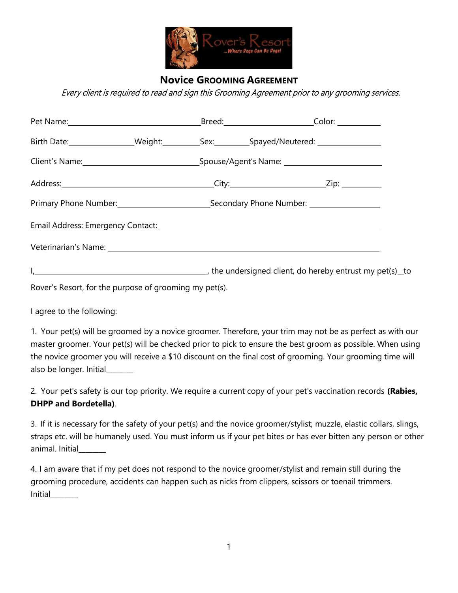

## Novice GROOMING AGREEMENT

## Every client is required to read and sign this Grooming Agreement prior to any grooming services.

| Pet Name: Color: Color: Color: Color: Color: Color: Color: Color: Color: Color: Color: Color: Color: Color: Color: Color: Color: Color: Color: Color: Color: Color: Color: Color: Color: Color: Color: Color: Color: Color: Co |  |  |  |  |
|--------------------------------------------------------------------------------------------------------------------------------------------------------------------------------------------------------------------------------|--|--|--|--|
| Birth Date: __________________Weight:______________Sex:____________Spayed/Neutered: ________________                                                                                                                           |  |  |  |  |
|                                                                                                                                                                                                                                |  |  |  |  |
|                                                                                                                                                                                                                                |  |  |  |  |
|                                                                                                                                                                                                                                |  |  |  |  |
|                                                                                                                                                                                                                                |  |  |  |  |
| Veterinarian's Name: 1997 - 1998 - 1998 - 1998 - 1999 - 1999 - 1999 - 1999 - 1999 - 1999 - 1999 - 1999 - 1999                                                                                                                  |  |  |  |  |
|                                                                                                                                                                                                                                |  |  |  |  |

Rover's Resort, for the purpose of grooming my pet(s).

I agree to the following:

1. Your pet(s) will be groomed by a novice groomer. Therefore, your trim may not be as perfect as with our master groomer. Your pet(s) will be checked prior to pick to ensure the best groom as possible. When using the novice groomer you will receive a \$10 discount on the final cost of grooming. Your grooming time will also be longer. Initial\_\_\_\_\_\_\_\_

2. Your pet's safety is our top priority. We require a current copy of your pet's vaccination records (Rabies, DHPP and Bordetella).

3. If it is necessary for the safety of your pet(s) and the novice groomer/stylist; muzzle, elastic collars, slings, straps etc. will be humanely used. You must inform us if your pet bites or has ever bitten any person or other animal. Initial

4. I am aware that if my pet does not respond to the novice groomer/stylist and remain still during the grooming procedure, accidents can happen such as nicks from clippers, scissors or toenail trimmers. Initial\_\_\_\_\_\_\_\_